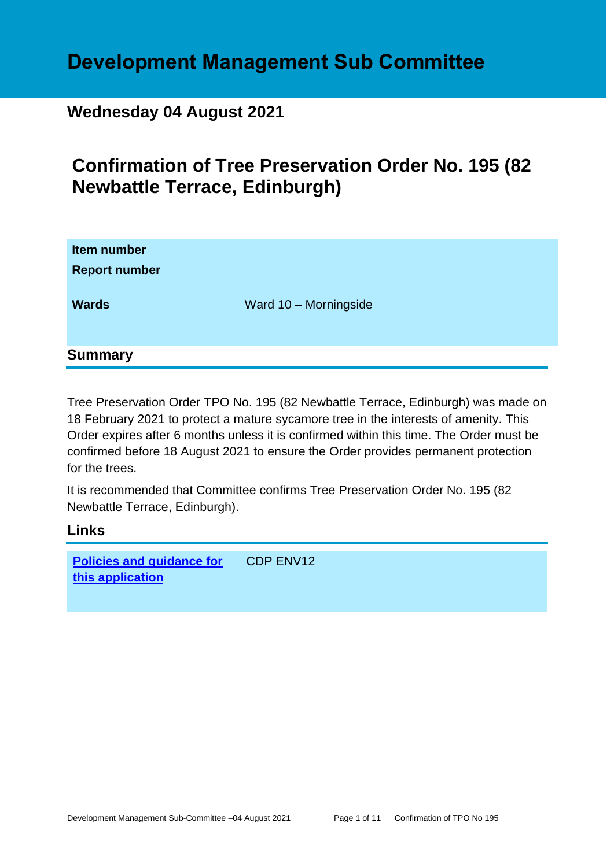# **Development Management Sub Committee**

# **Wednesday 04 August 2021**

# **Confirmation of Tree Preservation Order No. 195 (82 Newbattle Terrace, Edinburgh)**

| Item number<br><b>Report number</b> |                       |
|-------------------------------------|-----------------------|
| <b>Wards</b>                        | Ward 10 - Morningside |
| <b>Summary</b>                      |                       |

Tree Preservation Order TPO No. 195 (82 Newbattle Terrace, Edinburgh) was made on 18 February 2021 to protect a mature sycamore tree in the interests of amenity. This Order expires after 6 months unless it is confirmed within this time. The Order must be confirmed before 18 August 2021 to ensure the Order provides permanent protection for the trees.

It is recommended that Committee confirms Tree Preservation Order No. 195 (82 Newbattle Terrace, Edinburgh).

**Links**

**[Policies and guidance for](file:///C:/uniform/temp/uf04148.rtf%23Policies)  [this application](file:///C:/uniform/temp/uf04148.rtf%23Policies)** CDP ENV12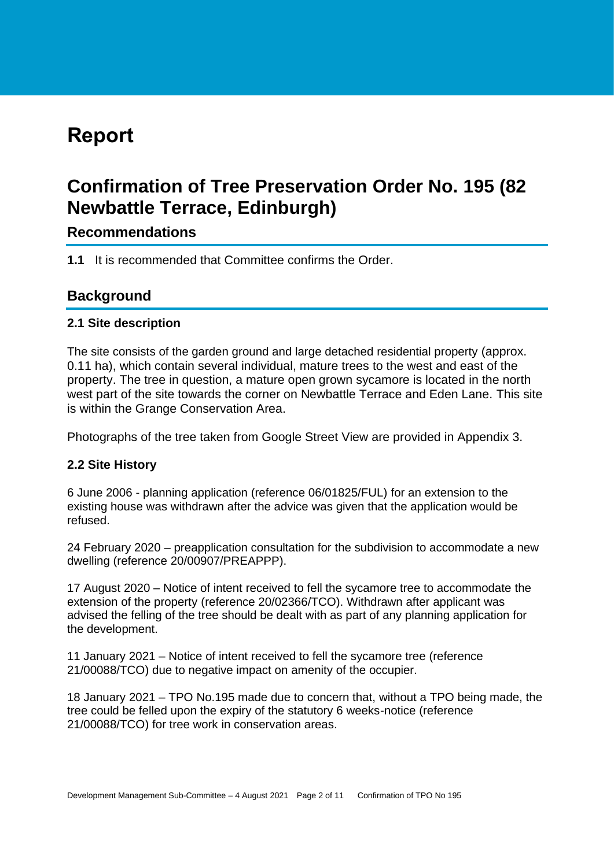# **Report**

# **Confirmation of Tree Preservation Order No. 195 (82 Newbattle Terrace, Edinburgh)**

# **Recommendations**

**1.1** It is recommended that Committee confirms the Order.

# **Background**

## **2.1 Site description**

The site consists of the garden ground and large detached residential property (approx. 0.11 ha), which contain several individual, mature trees to the west and east of the property. The tree in question, a mature open grown sycamore is located in the north west part of the site towards the corner on Newbattle Terrace and Eden Lane. This site is within the Grange Conservation Area.

Photographs of the tree taken from Google Street View are provided in Appendix 3.

## **2.2 Site History**

6 June 2006 - planning application (reference 06/01825/FUL) for an extension to the existing house was withdrawn after the advice was given that the application would be refused.

24 February 2020 – preapplication consultation for the subdivision to accommodate a new dwelling (reference 20/00907/PREAPPP).

17 August 2020 – Notice of intent received to fell the sycamore tree to accommodate the extension of the property (reference 20/02366/TCO). Withdrawn after applicant was advised the felling of the tree should be dealt with as part of any planning application for the development.

11 January 2021 – Notice of intent received to fell the sycamore tree (reference 21/00088/TCO) due to negative impact on amenity of the occupier.

18 January 2021 – TPO No.195 made due to concern that, without a TPO being made, the tree could be felled upon the expiry of the statutory 6 weeks-notice (reference 21/00088/TCO) for tree work in conservation areas.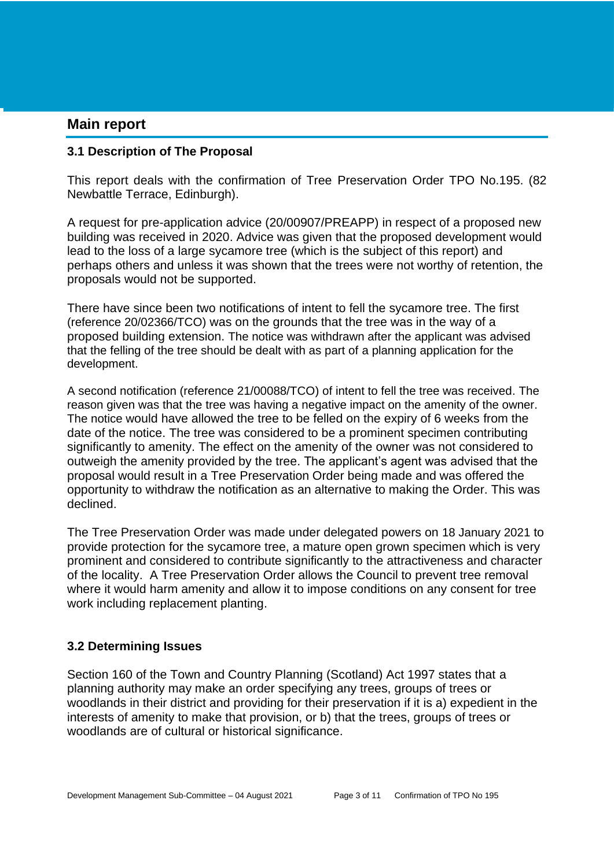## **Main report**

#### **3.1 Description of The Proposal**

This report deals with the confirmation of Tree Preservation Order TPO No.195. (82 Newbattle Terrace, Edinburgh).

A request for pre-application advice (20/00907/PREAPP) in respect of a proposed new building was received in 2020. Advice was given that the proposed development would lead to the loss of a large sycamore tree (which is the subject of this report) and perhaps others and unless it was shown that the trees were not worthy of retention, the proposals would not be supported.

There have since been two notifications of intent to fell the sycamore tree. The first (reference 20/02366/TCO) was on the grounds that the tree was in the way of a proposed building extension. The notice was withdrawn after the applicant was advised that the felling of the tree should be dealt with as part of a planning application for the development.

A second notification (reference 21/00088/TCO) of intent to fell the tree was received. The reason given was that the tree was having a negative impact on the amenity of the owner. The notice would have allowed the tree to be felled on the expiry of 6 weeks from the date of the notice. The tree was considered to be a prominent specimen contributing significantly to amenity. The effect on the amenity of the owner was not considered to outweigh the amenity provided by the tree. The applicant's agent was advised that the proposal would result in a Tree Preservation Order being made and was offered the opportunity to withdraw the notification as an alternative to making the Order. This was declined.

The Tree Preservation Order was made under delegated powers on 18 January 2021 to provide protection for the sycamore tree, a mature open grown specimen which is very prominent and considered to contribute significantly to the attractiveness and character of the locality. A Tree Preservation Order allows the Council to prevent tree removal where it would harm amenity and allow it to impose conditions on any consent for tree work including replacement planting.

## **3.2 Determining Issues**

Section 160 of the Town and Country Planning (Scotland) Act 1997 states that a planning authority may make an order specifying any trees, groups of trees or woodlands in their district and providing for their preservation if it is a) expedient in the interests of amenity to make that provision, or b) that the trees, groups of trees or woodlands are of cultural or historical significance.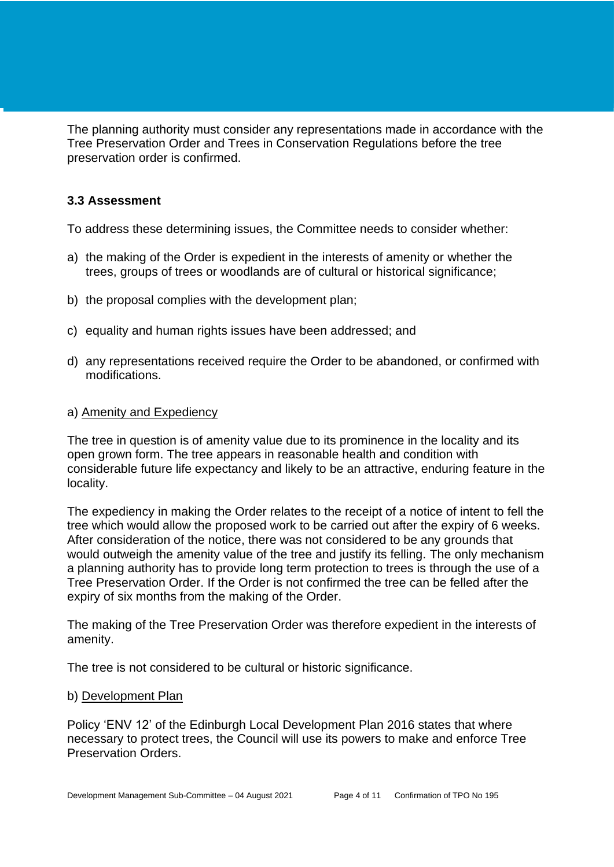The planning authority must consider any representations made in accordance with the Tree Preservation Order and Trees in Conservation Regulations before the tree preservation order is confirmed.

## **3.3 Assessment**

To address these determining issues, the Committee needs to consider whether:

- a) the making of the Order is expedient in the interests of amenity or whether the trees, groups of trees or woodlands are of cultural or historical significance;
- b) the proposal complies with the development plan;
- c) equality and human rights issues have been addressed; and
- d) any representations received require the Order to be abandoned, or confirmed with modifications.

#### a) Amenity and Expediency

The tree in question is of amenity value due to its prominence in the locality and its open grown form. The tree appears in reasonable health and condition with considerable future life expectancy and likely to be an attractive, enduring feature in the locality.

The expediency in making the Order relates to the receipt of a notice of intent to fell the tree which would allow the proposed work to be carried out after the expiry of 6 weeks. After consideration of the notice, there was not considered to be any grounds that would outweigh the amenity value of the tree and justify its felling. The only mechanism a planning authority has to provide long term protection to trees is through the use of a Tree Preservation Order. If the Order is not confirmed the tree can be felled after the expiry of six months from the making of the Order.

The making of the Tree Preservation Order was therefore expedient in the interests of amenity.

The tree is not considered to be cultural or historic significance.

#### b) Development Plan

Policy 'ENV 12' of the Edinburgh Local Development Plan 2016 states that where necessary to protect trees, the Council will use its powers to make and enforce Tree Preservation Orders.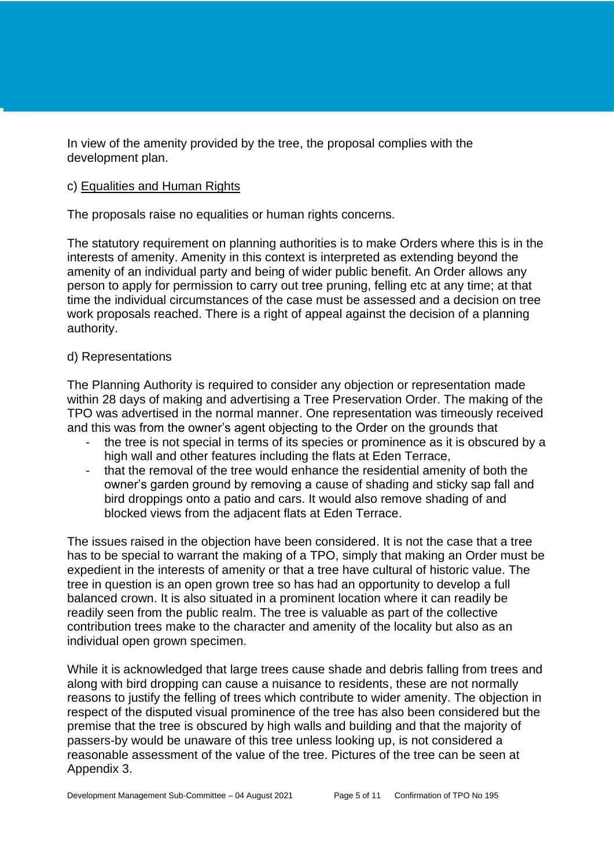In view of the amenity provided by the tree, the proposal complies with the development plan.

#### c) Equalities and Human Rights

The proposals raise no equalities or human rights concerns.

The statutory requirement on planning authorities is to make Orders where this is in the interests of amenity. Amenity in this context is interpreted as extending beyond the amenity of an individual party and being of wider public benefit. An Order allows any person to apply for permission to carry out tree pruning, felling etc at any time; at that time the individual circumstances of the case must be assessed and a decision on tree work proposals reached. There is a right of appeal against the decision of a planning authority.

#### d) Representations

The Planning Authority is required to consider any objection or representation made within 28 days of making and advertising a Tree Preservation Order. The making of the TPO was advertised in the normal manner. One representation was timeously received and this was from the owner's agent objecting to the Order on the grounds that

- the tree is not special in terms of its species or prominence as it is obscured by a high wall and other features including the flats at Eden Terrace,
- that the removal of the tree would enhance the residential amenity of both the owner's garden ground by removing a cause of shading and sticky sap fall and bird droppings onto a patio and cars. It would also remove shading of and blocked views from the adjacent flats at Eden Terrace.

The issues raised in the objection have been considered. It is not the case that a tree has to be special to warrant the making of a TPO, simply that making an Order must be expedient in the interests of amenity or that a tree have cultural of historic value. The tree in question is an open grown tree so has had an opportunity to develop a full balanced crown. It is also situated in a prominent location where it can readily be readily seen from the public realm. The tree is valuable as part of the collective contribution trees make to the character and amenity of the locality but also as an individual open grown specimen.

While it is acknowledged that large trees cause shade and debris falling from trees and along with bird dropping can cause a nuisance to residents, these are not normally reasons to justify the felling of trees which contribute to wider amenity. The objection in respect of the disputed visual prominence of the tree has also been considered but the premise that the tree is obscured by high walls and building and that the majority of passers-by would be unaware of this tree unless looking up, is not considered a reasonable assessment of the value of the tree. Pictures of the tree can be seen at Appendix 3.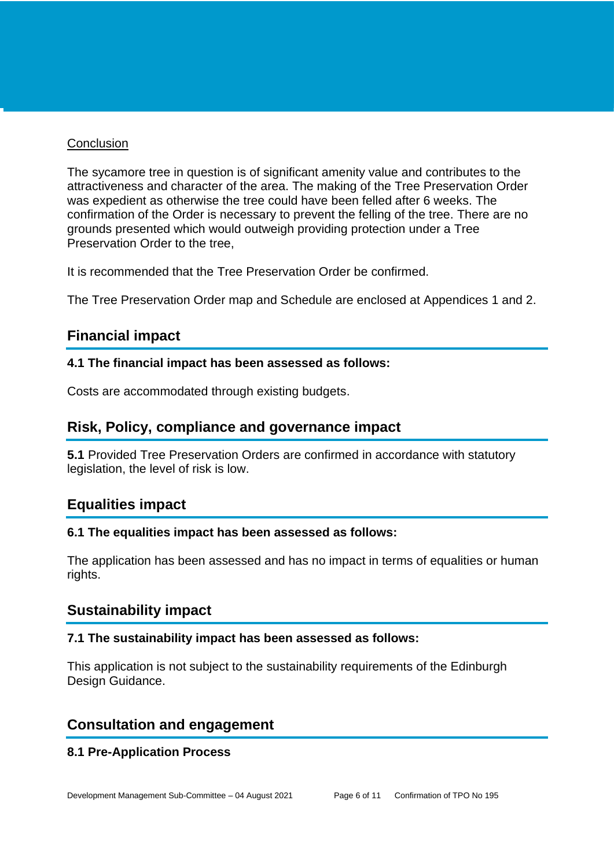#### **Conclusion**

The sycamore tree in question is of significant amenity value and contributes to the attractiveness and character of the area. The making of the Tree Preservation Order was expedient as otherwise the tree could have been felled after 6 weeks. The confirmation of the Order is necessary to prevent the felling of the tree. There are no grounds presented which would outweigh providing protection under a Tree Preservation Order to the tree,

It is recommended that the Tree Preservation Order be confirmed.

The Tree Preservation Order map and Schedule are enclosed at Appendices 1 and 2.

# **Financial impact**

## **4.1 The financial impact has been assessed as follows:**

Costs are accommodated through existing budgets.

# **Risk, Policy, compliance and governance impact**

**5.1** Provided Tree Preservation Orders are confirmed in accordance with statutory legislation, the level of risk is low.

# **Equalities impact**

## **6.1 The equalities impact has been assessed as follows:**

The application has been assessed and has no impact in terms of equalities or human rights.

# **Sustainability impact**

#### **7.1 The sustainability impact has been assessed as follows:**

This application is not subject to the sustainability requirements of the Edinburgh Design Guidance.

## **Consultation and engagement**

## **8.1 Pre-Application Process**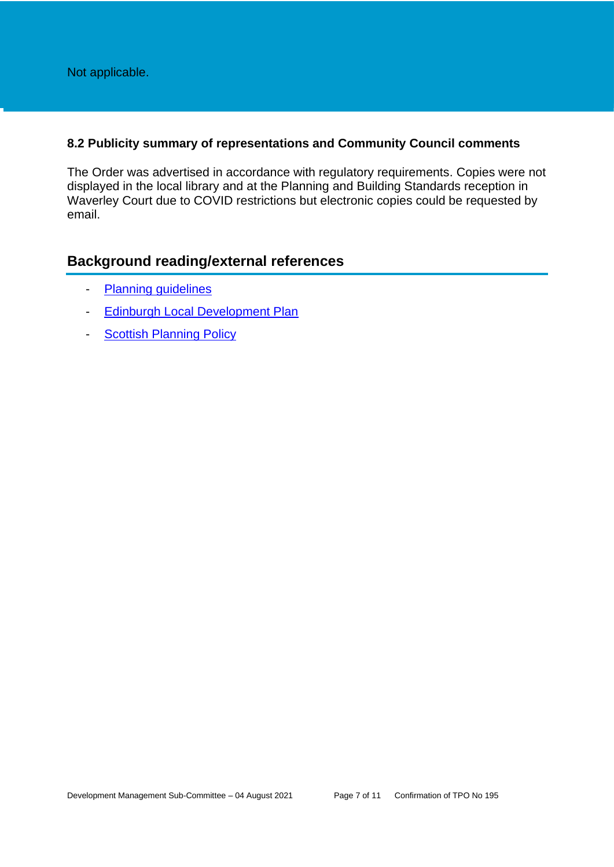Not applicable.

#### **8.2 Publicity summary of representations and Community Council comments**

The Order was advertised in accordance with regulatory requirements. Copies were not displayed in the local library and at the Planning and Building Standards reception in Waverley Court due to COVID restrictions but electronic copies could be requested by email.

# **Background reading/external references**

- [Planning guidelines](http://www.edinburgh.gov.uk/planningguidelines)
- [Edinburgh Local Development Plan](http://www.edinburgh.gov.uk/localdevelopmentplan)
- **[Scottish Planning Policy](http://www.scotland.gov.uk/Topics/Built-Environment/planning/Policy)**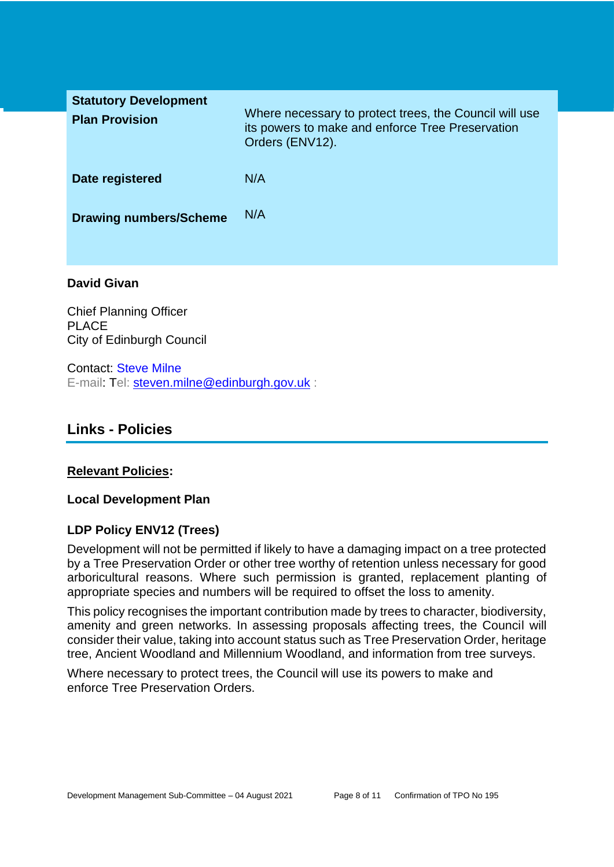| <b>Statutory Development</b><br><b>Plan Provision</b> | Where necessary to protect trees, the Council will use<br>its powers to make and enforce Tree Preservation<br>Orders (ENV12). |
|-------------------------------------------------------|-------------------------------------------------------------------------------------------------------------------------------|
| Date registered                                       | N/A                                                                                                                           |
| <b>Drawing numbers/Scheme</b>                         | N/A                                                                                                                           |
|                                                       |                                                                                                                               |

#### **David Givan**

Chief Planning Officer PLACE City of Edinburgh Council

Contact: Steve Milne E-mail: Tel: [steven.milne@edinburgh.gov.uk](mailto:steven.milne@edinburgh.gov.uk) :

# **Links - Policies**

#### **Relevant Policies:**

#### **Local Development Plan**

## **LDP Policy ENV12 (Trees)**

Development will not be permitted if likely to have a damaging impact on a tree protected by a Tree Preservation Order or other tree worthy of retention unless necessary for good arboricultural reasons. Where such permission is granted, replacement planting of appropriate species and numbers will be required to offset the loss to amenity.

This policy recognises the important contribution made by trees to character, biodiversity, amenity and green networks. In assessing proposals affecting trees, the Council will consider their value, taking into account status such as Tree Preservation Order, heritage tree, Ancient Woodland and Millennium Woodland, and information from tree surveys.

Where necessary to protect trees, the Council will use its powers to make and enforce Tree Preservation Orders.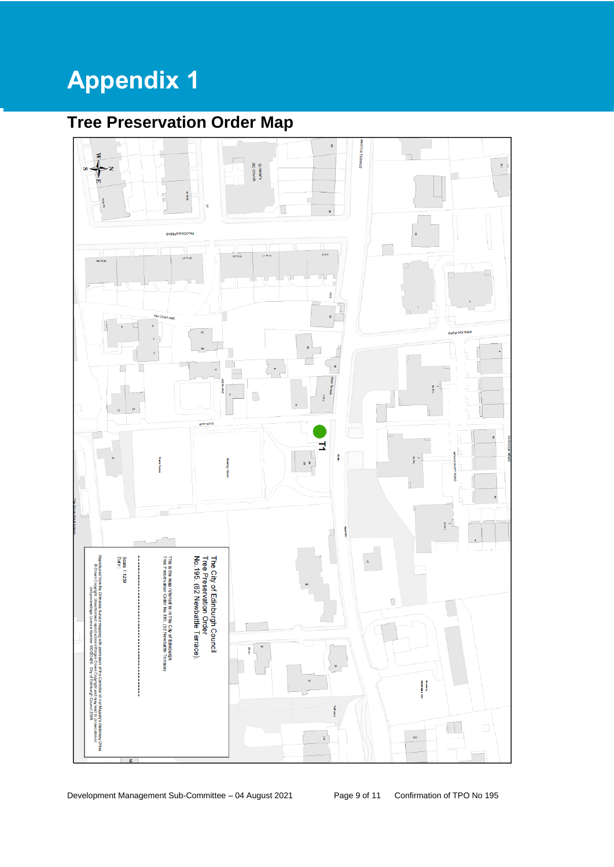# **Appendix 1**

# **Tree Preservation Order Map**

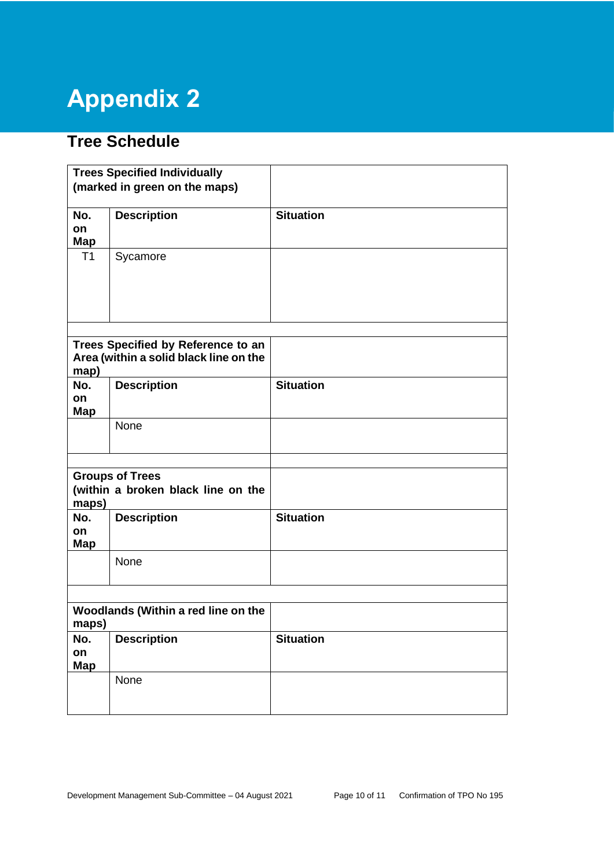# **Appendix 2**

# **Tree Schedule**

|                                                                       | <b>Trees Specified Individually</b>                                          |                  |
|-----------------------------------------------------------------------|------------------------------------------------------------------------------|------------------|
|                                                                       | (marked in green on the maps)                                                |                  |
| No.<br>on<br>Map                                                      | <b>Description</b>                                                           | <b>Situation</b> |
| T1                                                                    | Sycamore                                                                     |                  |
| map)                                                                  | Trees Specified by Reference to an<br>Area (within a solid black line on the |                  |
| No.<br>on<br>Map                                                      | <b>Description</b>                                                           | <b>Situation</b> |
|                                                                       | None                                                                         |                  |
|                                                                       |                                                                              |                  |
| <b>Groups of Trees</b><br>(within a broken black line on the<br>maps) |                                                                              |                  |
| No.<br>on<br><b>Map</b>                                               | <b>Description</b>                                                           | <b>Situation</b> |
|                                                                       | None                                                                         |                  |
|                                                                       |                                                                              |                  |
| Woodlands (Within a red line on the<br>maps)                          |                                                                              |                  |
| No.<br>on<br><b>Map</b>                                               | <b>Description</b>                                                           | <b>Situation</b> |
|                                                                       | None                                                                         |                  |